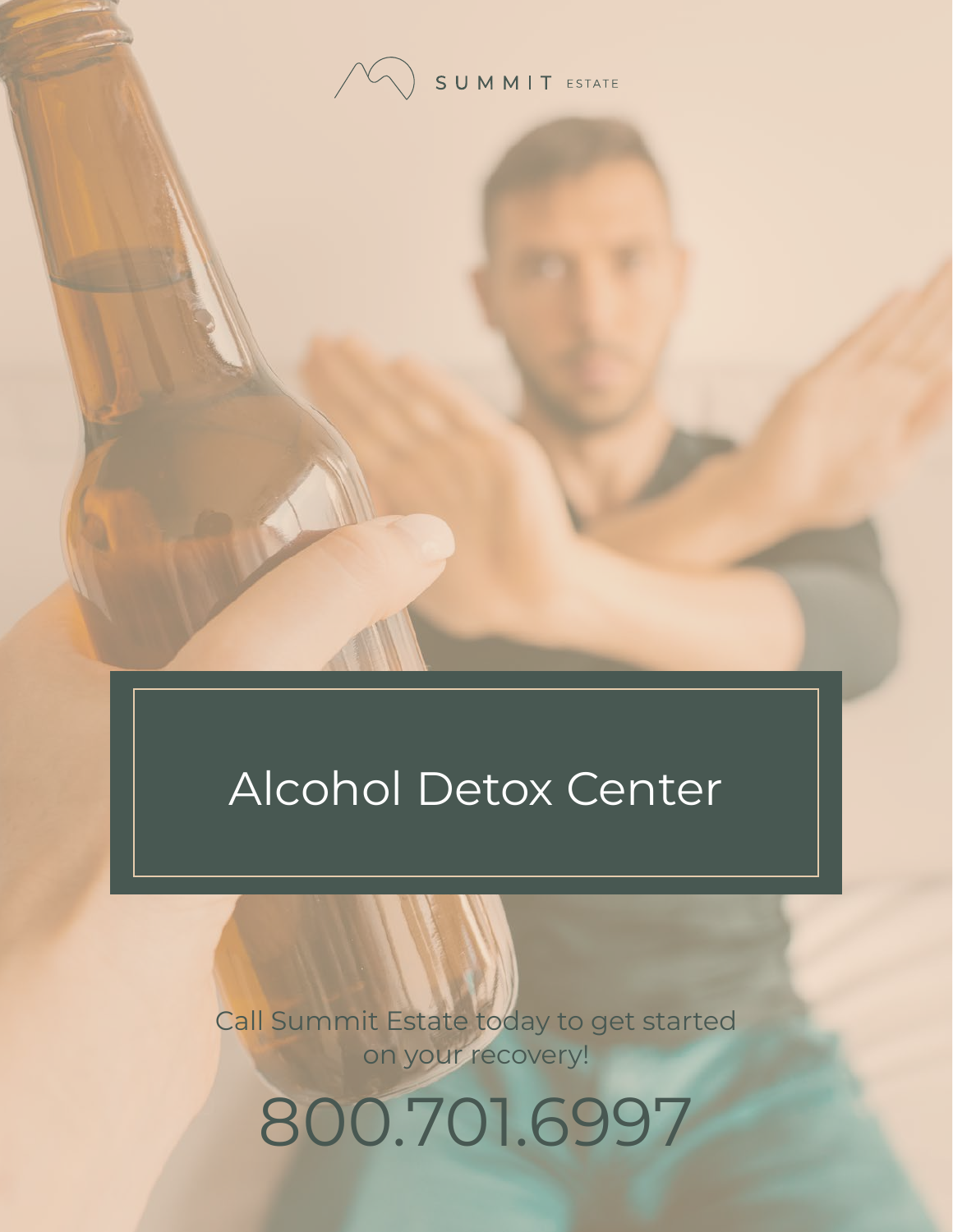

# Alcohol Detox Center

Call Summit Estate today to get started on your recovery!

800.701.6997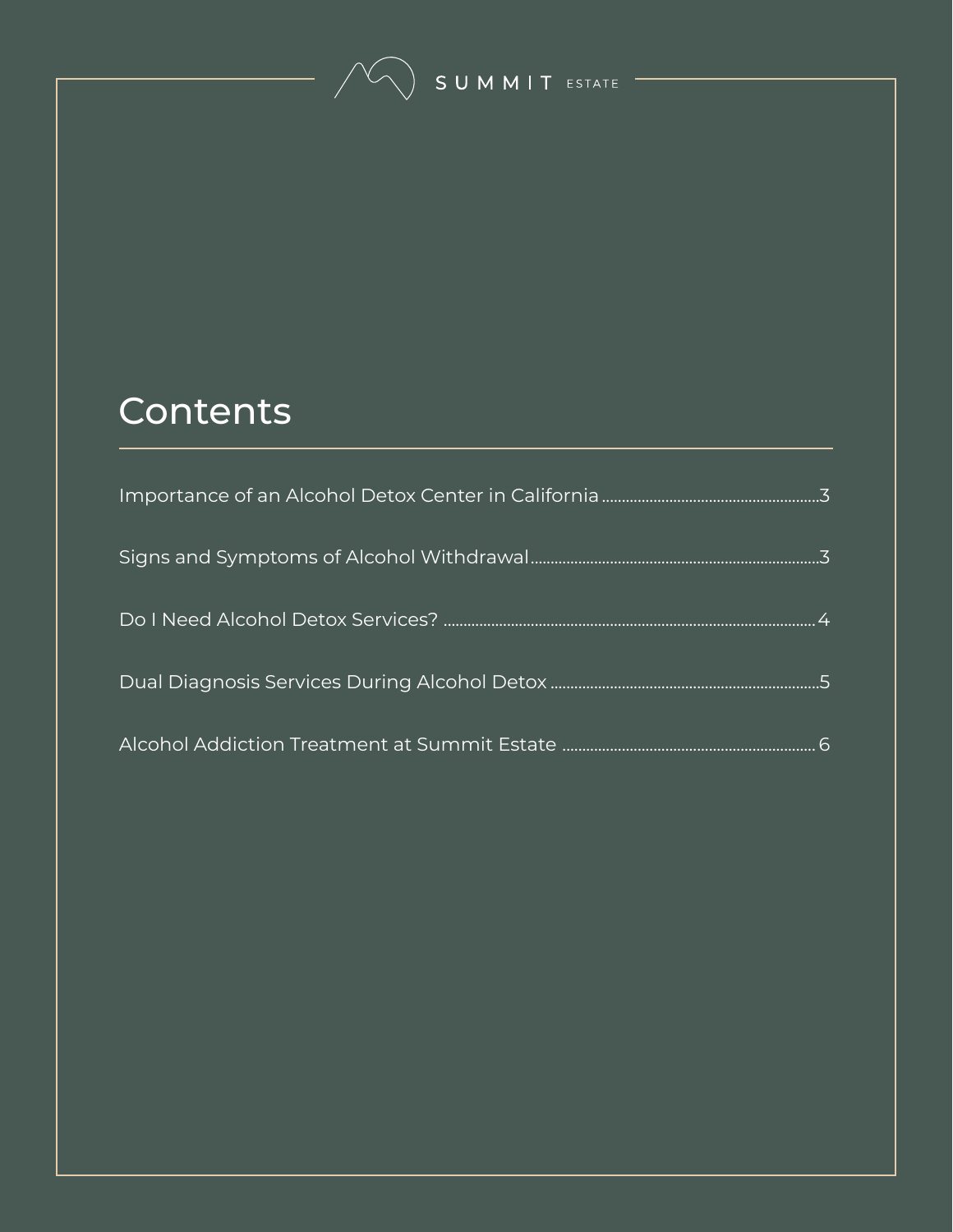SUMMIT ESTATE

### **Contents**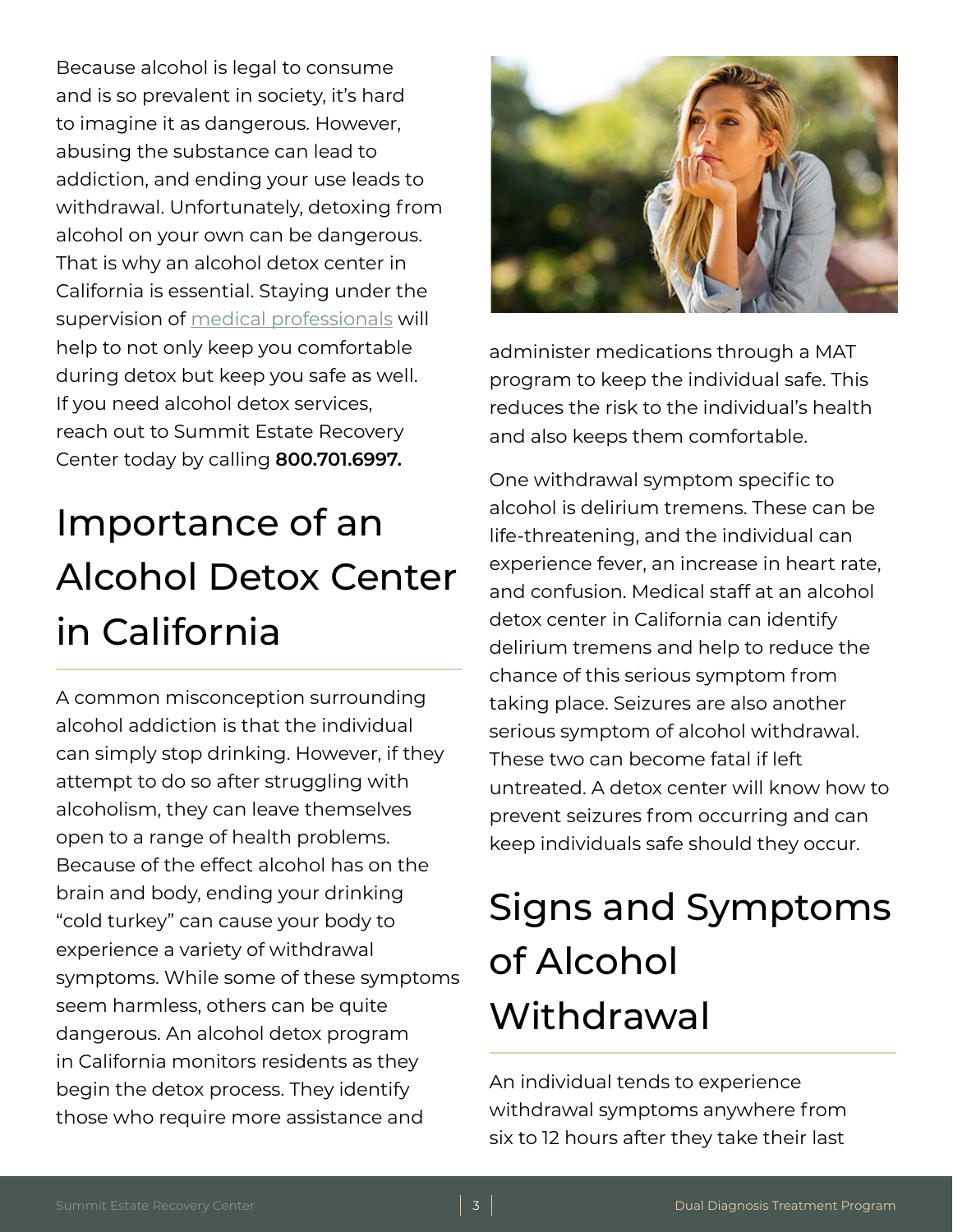<span id="page-2-0"></span>Because alcohol is legal to consume and is so prevalent in society, it's hard to imagine it as dangerous. However, abusing the substance can lead to addiction, and ending your use leads to withdrawal. Unfortunately, detoxing from alcohol on your own can be dangerous. That is why an alcohol detox center in California is essential. Staying under the supervision of [medical professionals](https://www.summitestate.com/about-summit-estate-recovery-center/northern-california-addiction-treatment-staff/) will help to not only keep you comfortable during detox but keep you safe as well. If you need alcohol detox services, reach out to Summit Estate Recovery Center today by calling **800.701.6997.**

# Importance of an Alcohol Detox Center in California

A common misconception surrounding alcohol addiction is that the individual can simply stop drinking. However, if they attempt to do so after struggling with alcoholism, they can leave themselves open to a range of health problems. Because of the effect alcohol has on the brain and body, ending your drinking "cold turkey" can cause your body to experience a variety of withdrawal symptoms. While some of these symptoms seem harmless, others can be quite dangerous. An alcohol detox program in California monitors residents as they begin the detox process. They identify those who require more assistance and



administer medications through a MAT program to keep the individual safe. This reduces the risk to the individual's health and also keeps them comfortable.

One withdrawal symptom specific to alcohol is delirium tremens. These can be life-threatening, and the individual can experience fever, an increase in heart rate, and confusion. Medical staff at an alcohol detox center in California can identify delirium tremens and help to reduce the chance of this serious symptom from taking place. Seizures are also another serious symptom of alcohol withdrawal. These two can become fatal if left untreated. A detox center will know how to prevent seizures from occurring and can keep individuals safe should they occur.

# Signs and Symptoms of Alcohol **Withdrawal**

An individual tends to experience withdrawal symptoms anywhere from six to 12 hours after they take their last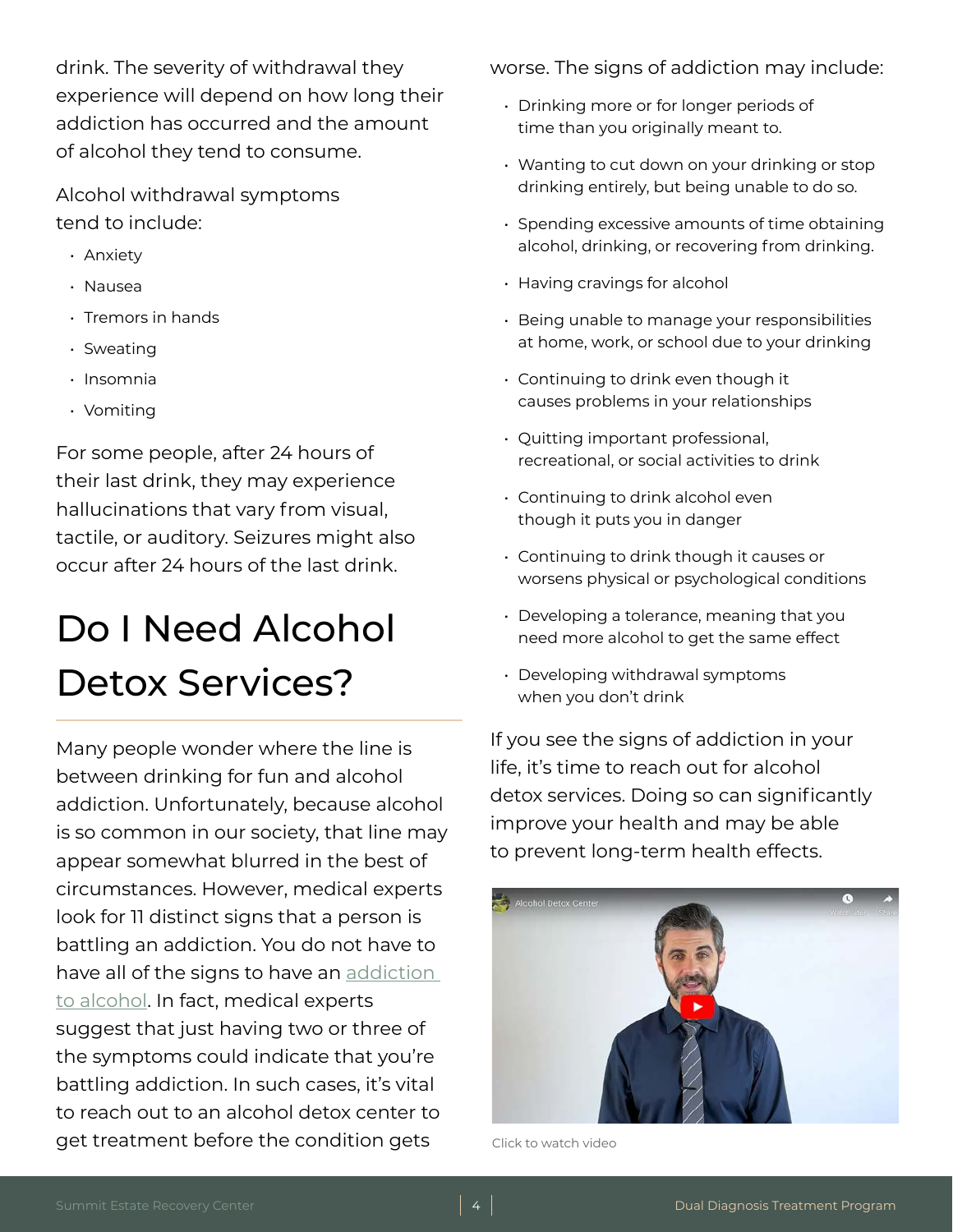<span id="page-3-0"></span>drink. The severity of withdrawal they experience will depend on how long their addiction has occurred and the amount of alcohol they tend to consume.

Alcohol withdrawal symptoms tend to include:

- Anxiety
- Nausea
- Tremors in hands
- Sweating
- Insomnia
- Vomiting

For some people, after 24 hours of their last drink, they may experience hallucinations that vary from visual, tactile, or auditory. Seizures might also occur after 24 hours of the last drink.

## Do I Need Alcohol Detox Services?

Many people wonder where the line is between drinking for fun and alcohol addiction. Unfortunately, because alcohol is so common in our society, that line may appear somewhat blurred in the best of circumstances. However, medical experts look for 11 distinct signs that a person is battling an addiction. You do not have to have all of the signs to have an [addiction](https://www.summitestate.com/northern-california-substance-abuse-treatment-center/alcohol-addiction-treatment-program-ca/)  [to alcohol.](https://www.summitestate.com/northern-california-substance-abuse-treatment-center/alcohol-addiction-treatment-program-ca/) In fact, medical experts suggest that just having two or three of the symptoms could indicate that you're battling addiction. In such cases, it's vital to reach out to an alcohol detox center to get treatment before the condition gets

worse. The signs of addiction may include:

- Drinking more or for longer periods of time than you originally meant to.
- Wanting to cut down on your drinking or stop drinking entirely, but being unable to do so.
- Spending excessive amounts of time obtaining alcohol, drinking, or recovering from drinking.
- Having cravings for alcohol
- Being unable to manage your responsibilities at home, work, or school due to your drinking
- Continuing to drink even though it causes problems in your relationships
- Quitting important professional, recreational, or social activities to drink
- Continuing to drink alcohol even though it puts you in danger
- Continuing to drink though it causes or worsens physical or psychological conditions
- Developing a tolerance, meaning that you need more alcohol to get the same effect
- Developing withdrawal symptoms when you don't drink

If you see the signs of addiction in your life, it's time to reach out for alcohol detox services. Doing so can significantly improve your health and may be able to prevent long-term health effects.



Click to watch video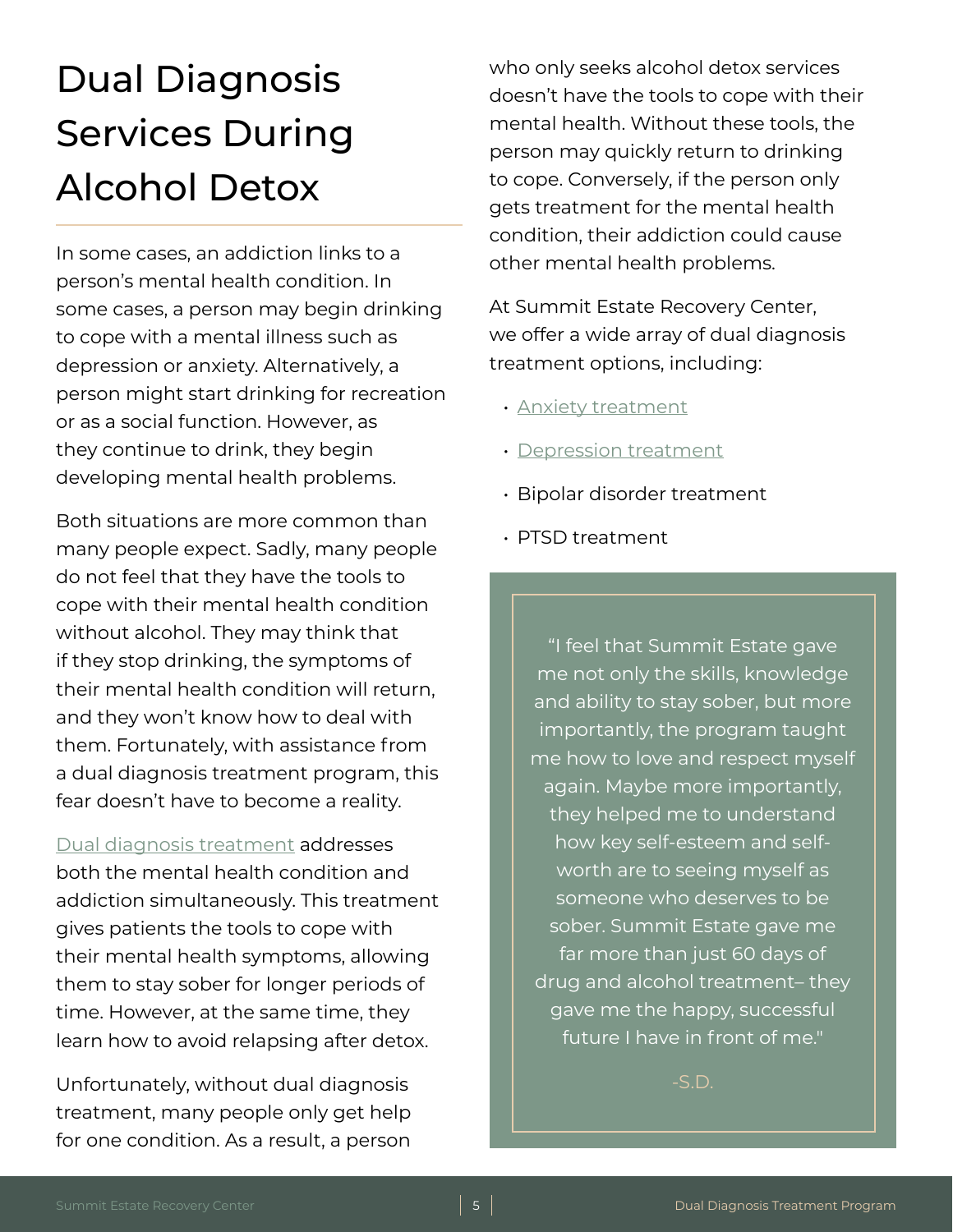## <span id="page-4-0"></span>Dual Diagnosis Services During Alcohol Detox

In some cases, an addiction links to a person's mental health condition. In some cases, a person may begin drinking to cope with a mental illness such as depression or anxiety. Alternatively, a person might start drinking for recreation or as a social function. However, as they continue to drink, they begin developing mental health problems.

Both situations are more common than many people expect. Sadly, many people do not feel that they have the tools to cope with their mental health condition without alcohol. They may think that if they stop drinking, the symptoms of their mental health condition will return, and they won't know how to deal with them. Fortunately, with assistance from a dual diagnosis treatment program, this fear doesn't have to become a reality.

[Dual diagnosis treatment](https://www.summitestate.com/northern-california-drug-and-alcohol-rehab-programs/dual-diagnosis-treatment-program-ca/) addresses both the mental health condition and addiction simultaneously. This treatment gives patients the tools to cope with their mental health symptoms, allowing them to stay sober for longer periods of time. However, at the same time, they learn how to avoid relapsing after detox.

Unfortunately, without dual diagnosis treatment, many people only get help for one condition. As a result, a person who only seeks alcohol detox services doesn't have the tools to cope with their mental health. Without these tools, the person may quickly return to drinking to cope. Conversely, if the person only gets treatment for the mental health condition, their addiction could cause other mental health problems.

At Summit Estate Recovery Center, we offer a wide array of dual diagnosis treatment options, including:

- [Anxiety treatment](https://www.summitestate.com/northern-california-drug-and-alcohol-rehab-programs/dual-diagnosis-treatment-program-ca/anxiety-treatment-program-ca/)
- [Depression treatment](https://www.summitestate.com/northern-california-drug-and-alcohol-rehab-programs/dual-diagnosis-treatment-program-ca/depression-treatment-program-ca/)
- Bipolar disorder treatment
- PTSD treatment

"I feel that Summit Estate gave me not only the skills, knowledge and ability to stay sober, but more importantly, the program taught me how to love and respect myself again. Maybe more importantly, they helped me to understand how key self-esteem and selfworth are to seeing myself as someone who deserves to be sober. Summit Estate gave me far more than just 60 days of drug and alcohol treatment– they gave me the happy, successful future I have in front of me."

-S.D.